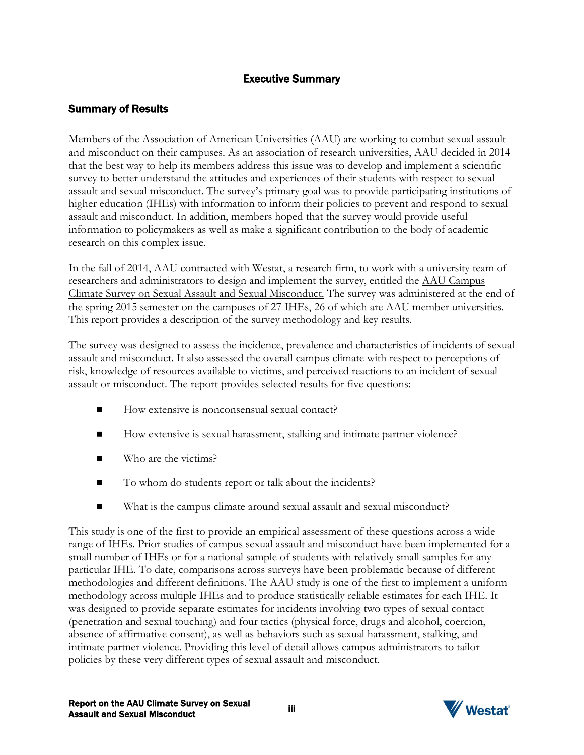## Executive Summary

## Summary of Results

Members of the Association of American Universities (AAU) are working to combat sexual assault and misconduct on their campuses. As an association of research universities, AAU decided in 2014 that the best way to help its members address this issue was to develop and implement a scientific survey to better understand the attitudes and experiences of their students with respect to sexual assault and sexual misconduct. The survey's primary goal was to provide participating institutions of higher education (IHEs) with information to inform their policies to prevent and respond to sexual assault and misconduct. In addition, members hoped that the survey would provide useful information to policymakers as well as make a significant contribution to the body of academic research on this complex issue.

In the fall of 2014, AAU contracted with Westat, a research firm, to work with a university team of researchers and administrators to design and implement the survey, entitled the AAU Campus Climate Survey on Sexual Assault and Sexual Misconduct. The survey was administered at the end of the spring 2015 semester on the campuses of 27 IHEs, 26 of which are AAU member universities. This report provides a description of the survey methodology and key results.

The survey was designed to assess the incidence, prevalence and characteristics of incidents of sexual assault and misconduct. It also assessed the overall campus climate with respect to perceptions of risk, knowledge of resources available to victims, and perceived reactions to an incident of sexual assault or misconduct. The report provides selected results for five questions:

- How extensive is nonconsensual sexual contact?
- How extensive is sexual harassment, stalking and intimate partner violence?
- Who are the victims?
- To whom do students report or talk about the incidents?
- What is the campus climate around sexual assault and sexual misconduct?

This study is one of the first to provide an empirical assessment of these questions across a wide range of IHEs. Prior studies of campus sexual assault and misconduct have been implemented for a small number of IHEs or for a national sample of students with relatively small samples for any particular IHE. To date, comparisons across surveys have been problematic because of different methodologies and different definitions. The AAU study is one of the first to implement a uniform methodology across multiple IHEs and to produce statistically reliable estimates for each IHE. It was designed to provide separate estimates for incidents involving two types of sexual contact (penetration and sexual touching) and four tactics (physical force, drugs and alcohol, coercion, absence of affirmative consent), as well as behaviors such as sexual harassment, stalking, and intimate partner violence. Providing this level of detail allows campus administrators to tailor policies by these very different types of sexual assault and misconduct.

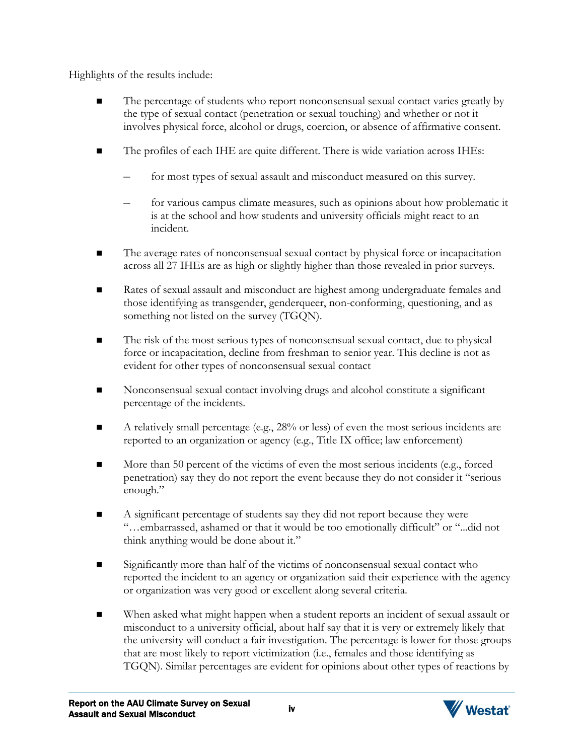Highlights of the results include:

- The percentage of students who report nonconsensual sexual contact varies greatly by the type of sexual contact (penetration or sexual touching) and whether or not it involves physical force, alcohol or drugs, coercion, or absence of affirmative consent.
- The profiles of each IHE are quite different. There is wide variation across IHEs:
	- for most types of sexual assault and misconduct measured on this survey.
	- for various campus climate measures, such as opinions about how problematic it is at the school and how students and university officials might react to an incident.
- The average rates of nonconsensual sexual contact by physical force or incapacitation across all 27 IHEs are as high or slightly higher than those revealed in prior surveys.
- Rates of sexual assault and misconduct are highest among undergraduate females and those identifying as transgender, genderqueer, non-conforming, questioning, and as something not listed on the survey (TGQN).
- The risk of the most serious types of nonconsensual sexual contact, due to physical force or incapacitation, decline from freshman to senior year. This decline is not as evident for other types of nonconsensual sexual contact
- Nonconsensual sexual contact involving drugs and alcohol constitute a significant percentage of the incidents.
- A relatively small percentage (e.g.,  $28%$  or less) of even the most serious incidents are reported to an organization or agency (e.g., Title IX office; law enforcement)
- $\blacksquare$  More than 50 percent of the victims of even the most serious incidents (e.g., forced penetration) say they do not report the event because they do not consider it "serious enough."
- A significant percentage of students say they did not report because they were "…embarrassed, ashamed or that it would be too emotionally difficult" or "...did not think anything would be done about it."
- Significantly more than half of the victims of nonconsensual sexual contact who reported the incident to an agency or organization said their experience with the agency or organization was very good or excellent along several criteria.
- When asked what might happen when a student reports an incident of sexual assault or misconduct to a university official, about half say that it is very or extremely likely that the university will conduct a fair investigation. The percentage is lower for those groups that are most likely to report victimization (i.e., females and those identifying as TGQN). Similar percentages are evident for opinions about other types of reactions by

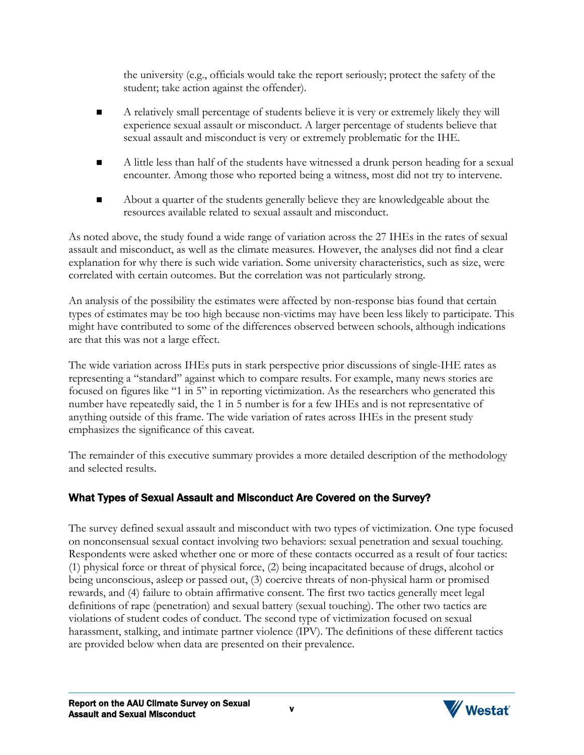the university (e.g., officials would take the report seriously; protect the safety of the student; take action against the offender).

- A relatively small percentage of students believe it is very or extremely likely they will experience sexual assault or misconduct. A larger percentage of students believe that sexual assault and misconduct is very or extremely problematic for the IHE.
- A little less than half of the students have witnessed a drunk person heading for a sexual encounter. Among those who reported being a witness, most did not try to intervene.
- About a quarter of the students generally believe they are knowledgeable about the resources available related to sexual assault and misconduct.

As noted above, the study found a wide range of variation across the 27 IHEs in the rates of sexual assault and misconduct, as well as the climate measures. However, the analyses did not find a clear explanation for why there is such wide variation. Some university characteristics, such as size, were correlated with certain outcomes. But the correlation was not particularly strong.

An analysis of the possibility the estimates were affected by non-response bias found that certain types of estimates may be too high because non-victims may have been less likely to participate. This might have contributed to some of the differences observed between schools, although indications are that this was not a large effect.

The wide variation across IHEs puts in stark perspective prior discussions of single-IHE rates as representing a "standard" against which to compare results. For example, many news stories are focused on figures like "1 in 5" in reporting victimization. As the researchers who generated this number have repeatedly said, the 1 in 5 number is for a few IHEs and is not representative of anything outside of this frame. The wide variation of rates across IHEs in the present study emphasizes the significance of this caveat.

The remainder of this executive summary provides a more detailed description of the methodology and selected results.

# What Types of Sexual Assault and Misconduct Are Covered on the Survey?

The survey defined sexual assault and misconduct with two types of victimization. One type focused on nonconsensual sexual contact involving two behaviors: sexual penetration and sexual touching. Respondents were asked whether one or more of these contacts occurred as a result of four tactics: (1) physical force or threat of physical force, (2) being incapacitated because of drugs, alcohol or being unconscious, asleep or passed out, (3) coercive threats of non-physical harm or promised rewards, and (4) failure to obtain affirmative consent. The first two tactics generally meet legal definitions of rape (penetration) and sexual battery (sexual touching). The other two tactics are violations of student codes of conduct. The second type of victimization focused on sexual harassment, stalking, and intimate partner violence (IPV). The definitions of these different tactics are provided below when data are presented on their prevalence.

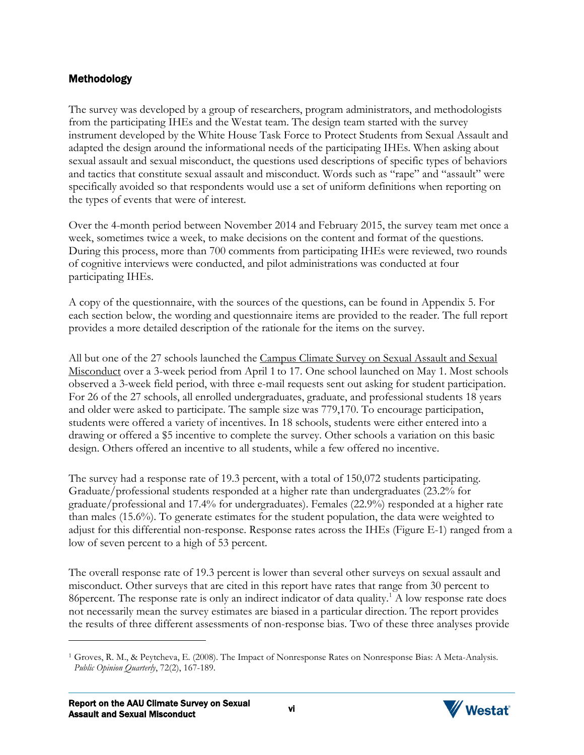## Methodology

The survey was developed by a group of researchers, program administrators, and methodologists from the participating IHEs and the Westat team. The design team started with the survey instrument developed by the White House Task Force to Protect Students from Sexual Assault and adapted the design around the informational needs of the participating IHEs. When asking about sexual assault and sexual misconduct, the questions used descriptions of specific types of behaviors and tactics that constitute sexual assault and misconduct. Words such as "rape" and "assault" were specifically avoided so that respondents would use a set of uniform definitions when reporting on the types of events that were of interest.

Over the 4-month period between November 2014 and February 2015, the survey team met once a week, sometimes twice a week, to make decisions on the content and format of the questions. During this process, more than 700 comments from participating IHEs were reviewed, two rounds of cognitive interviews were conducted, and pilot administrations was conducted at four participating IHEs.

A copy of the questionnaire, with the sources of the questions, can be found in Appendix 5. For each section below, the wording and questionnaire items are provided to the reader. The full report provides a more detailed description of the rationale for the items on the survey.

All but one of the 27 schools launched the Campus Climate Survey on Sexual Assault and Sexual Misconduct over a 3-week period from April 1 to 17. One school launched on May 1. Most schools observed a 3-week field period, with three e-mail requests sent out asking for student participation. For 26 of the 27 schools, all enrolled undergraduates, graduate, and professional students 18 years and older were asked to participate. The sample size was 779,170. To encourage participation, students were offered a variety of incentives. In 18 schools, students were either entered into a drawing or offered a \$5 incentive to complete the survey. Other schools a variation on this basic design. Others offered an incentive to all students, while a few offered no incentive.

The survey had a response rate of 19.3 percent, with a total of 150,072 students participating. Graduate/professional students responded at a higher rate than undergraduates (23.2% for graduate/professional and 17.4% for undergraduates). Females (22.9%) responded at a higher rate than males (15.6%). To generate estimates for the student population, the data were weighted to adjust for this differential non-response. Response rates across the IHEs (Figure E-1) ranged from a low of seven percent to a high of 53 percent.

The overall response rate of 19.3 percent is lower than several other surveys on sexual assault and misconduct. Other surveys that are cited in this report have rates that range from 30 percent to 86 percent. The response rate is only an indirect indicator of data quality.<sup>[1](#page-3-0)</sup> A low response rate does not necessarily mean the survey estimates are biased in a particular direction. The report provides the results of three different assessments of non-response bias. Two of these three analyses provide



<span id="page-3-0"></span><sup>1</sup> Groves, R. M., & Peytcheva, E. (2008). The Impact of Nonresponse Rates on Nonresponse Bias: A Meta-Analysis. *Public Opinion Quarterly*, 72(2), 167-189.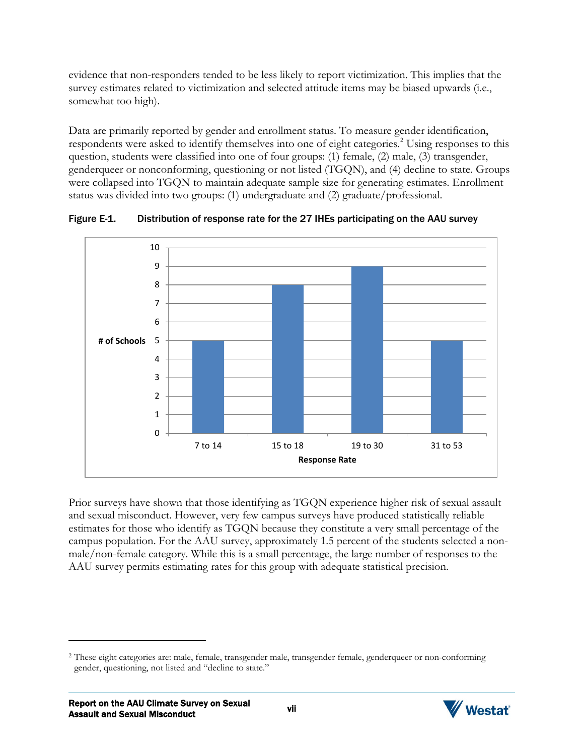evidence that non-responders tended to be less likely to report victimization. This implies that the survey estimates related to victimization and selected attitude items may be biased upwards (i.e., somewhat too high).

Data are primarily reported by gender and enrollment status. To measure gender identification, respondents were asked to identify themselves into one of eight categories.<sup>[2](#page-4-0)</sup> Using responses to this question, students were classified into one of four groups: (1) female, (2) male, (3) transgender, genderqueer or nonconforming, questioning or not listed (TGQN), and (4) decline to state. Groups were collapsed into TGQN to maintain adequate sample size for generating estimates. Enrollment status was divided into two groups: (1) undergraduate and (2) graduate/professional.



Figure E-1. Distribution of response rate for the 27 IHEs participating on the AAU survey

Prior surveys have shown that those identifying as TGQN experience higher risk of sexual assault and sexual misconduct. However, very few campus surveys have produced statistically reliable estimates for those who identify as TGQN because they constitute a very small percentage of the campus population. For the AAU survey, approximately 1.5 percent of the students selected a nonmale/non-female category. While this is a small percentage, the large number of responses to the AAU survey permits estimating rates for this group with adequate statistical precision.



<span id="page-4-0"></span><sup>2</sup> These eight categories are: male, female, transgender male, transgender female, genderqueer or non-conforming gender, questioning, not listed and "decline to state."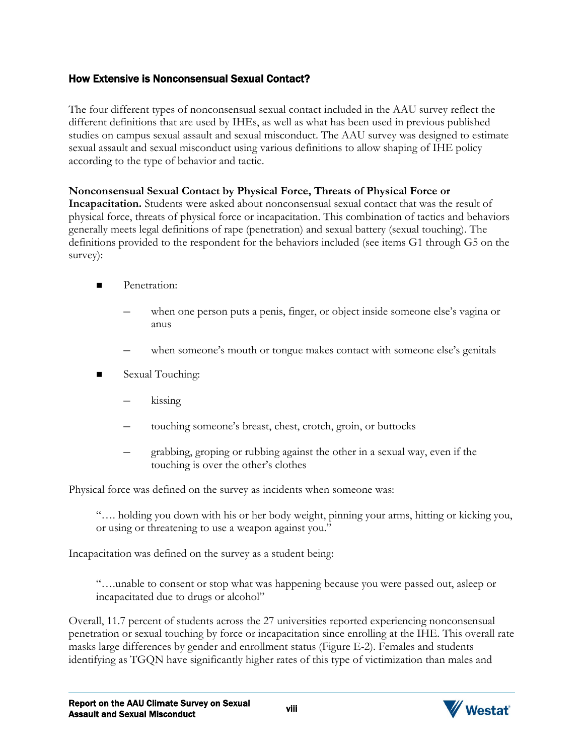## How Extensive is Nonconsensual Sexual Contact?

The four different types of nonconsensual sexual contact included in the AAU survey reflect the different definitions that are used by IHEs, as well as what has been used in previous published studies on campus sexual assault and sexual misconduct. The AAU survey was designed to estimate sexual assault and sexual misconduct using various definitions to allow shaping of IHE policy according to the type of behavior and tactic.

### **Nonconsensual Sexual Contact by Physical Force, Threats of Physical Force or**

**Incapacitation.** Students were asked about nonconsensual sexual contact that was the result of physical force, threats of physical force or incapacitation. This combination of tactics and behaviors generally meets legal definitions of rape (penetration) and sexual battery (sexual touching). The definitions provided to the respondent for the behaviors included (see items G1 through G5 on the survey):

- **Penetration:** 
	- when one person puts a penis, finger, or object inside someone else's vagina or anus
	- when someone's mouth or tongue makes contact with someone else's genitals
- Sexual Touching:
	- kissing
	- touching someone's breast, chest, crotch, groin, or buttocks
	- grabbing, groping or rubbing against the other in a sexual way, even if the touching is over the other's clothes

Physical force was defined on the survey as incidents when someone was:

"…. holding you down with his or her body weight, pinning your arms, hitting or kicking you, or using or threatening to use a weapon against you."

Incapacitation was defined on the survey as a student being:

"….unable to consent or stop what was happening because you were passed out, asleep or incapacitated due to drugs or alcohol"

Overall, 11.7 percent of students across the 27 universities reported experiencing nonconsensual penetration or sexual touching by force or incapacitation since enrolling at the IHE. This overall rate masks large differences by gender and enrollment status (Figure E-2). Females and students identifying as TGQN have significantly higher rates of this type of victimization than males and

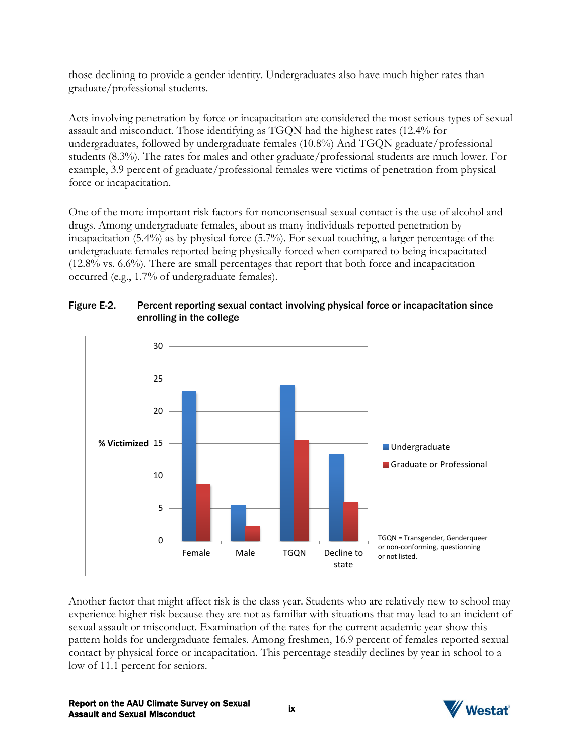those declining to provide a gender identity. Undergraduates also have much higher rates than graduate/professional students.

Acts involving penetration by force or incapacitation are considered the most serious types of sexual assault and misconduct. Those identifying as TGQN had the highest rates (12.4% for undergraduates, followed by undergraduate females (10.8%) And TGQN graduate/professional students (8.3%). The rates for males and other graduate/professional students are much lower. For example, 3.9 percent of graduate/professional females were victims of penetration from physical force or incapacitation.

One of the more important risk factors for nonconsensual sexual contact is the use of alcohol and drugs. Among undergraduate females, about as many individuals reported penetration by incapacitation (5.4%) as by physical force (5.7%). For sexual touching, a larger percentage of the undergraduate females reported being physically forced when compared to being incapacitated (12.8% vs. 6.6%). There are small percentages that report that both force and incapacitation occurred (e.g., 1.7% of undergraduate females).



### Figure E-2. Percent reporting sexual contact involving physical force or incapacitation since enrolling in the college

Another factor that might affect risk is the class year. Students who are relatively new to school may experience higher risk because they are not as familiar with situations that may lead to an incident of sexual assault or misconduct. Examination of the rates for the current academic year show this pattern holds for undergraduate females. Among freshmen, 16.9 percent of females reported sexual contact by physical force or incapacitation. This percentage steadily declines by year in school to a low of 11.1 percent for seniors.

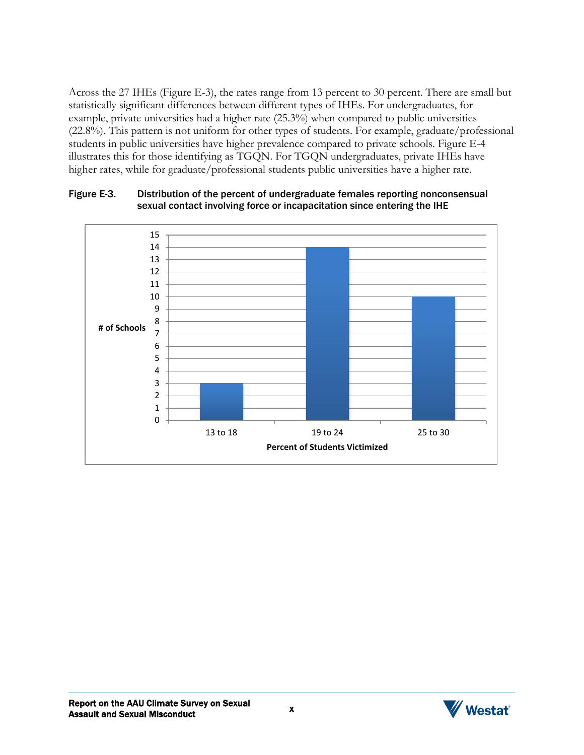Across the 27 IHEs (Figure E-3), the rates range from 13 percent to 30 percent. There are small but statistically significant differences between different types of IHEs. For undergraduates, for example, private universities had a higher rate (25.3%) when compared to public universities (22.8%). This pattern is not uniform for other types of students. For example, graduate/professional students in public universities have higher prevalence compared to private schools. Figure E-4 illustrates this for those identifying as TGQN. For TGQN undergraduates, private IHEs have higher rates, while for graduate/professional students public universities have a higher rate.



#### Figure E-3. Distribution of the percent of undergraduate females reporting nonconsensual sexual contact involving force or incapacitation since entering the IHE

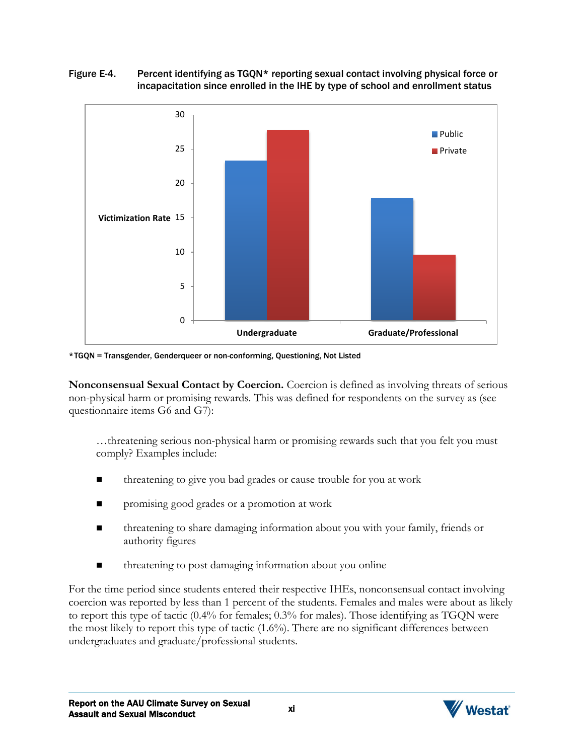### Figure E-4. Percent identifying as TGQN\* reporting sexual contact involving physical force or incapacitation since enrolled in the IHE by type of school and enrollment status



\* TGQN = Transgender, Genderqueer or non-conforming, Questioning, Not Listed

**Nonconsensual Sexual Contact by Coercion.** Coercion is defined as involving threats of serious non-physical harm or promising rewards. This was defined for respondents on the survey as (see questionnaire items G6 and G7):

…threatening serious non-physical harm or promising rewards such that you felt you must comply? Examples include:

- threatening to give you bad grades or cause trouble for you at work
- **Paramelle** promising good grades or a promotion at work
- **threatening to share damaging information about you with your family, friends or** authority figures
- threatening to post damaging information about you online

For the time period since students entered their respective IHEs, nonconsensual contact involving coercion was reported by less than 1 percent of the students. Females and males were about as likely to report this type of tactic (0.4% for females; 0.3% for males). Those identifying as TGQN were the most likely to report this type of tactic (1.6%). There are no significant differences between undergraduates and graduate/professional students.

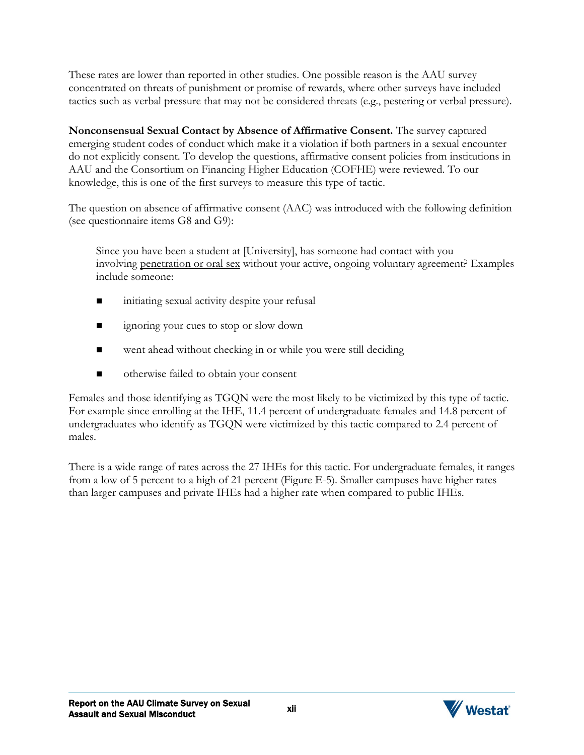These rates are lower than reported in other studies. One possible reason is the AAU survey concentrated on threats of punishment or promise of rewards, where other surveys have included tactics such as verbal pressure that may not be considered threats (e.g., pestering or verbal pressure).

**Nonconsensual Sexual Contact by Absence of Affirmative Consent.** The survey captured emerging student codes of conduct which make it a violation if both partners in a sexual encounter do not explicitly consent. To develop the questions, affirmative consent policies from institutions in AAU and the Consortium on Financing Higher Education (COFHE) were reviewed. To our knowledge, this is one of the first surveys to measure this type of tactic.

The question on absence of affirmative consent (AAC) was introduced with the following definition (see questionnaire items G8 and G9):

Since you have been a student at [University], has someone had contact with you involving penetration or oral sex without your active, ongoing voluntary agreement? Examples include someone:

- initiating sexual activity despite your refusal
- **ignoring your cues to stop or slow down**
- went ahead without checking in or while you were still deciding
- otherwise failed to obtain your consent

Females and those identifying as TGQN were the most likely to be victimized by this type of tactic. For example since enrolling at the IHE, 11.4 percent of undergraduate females and 14.8 percent of undergraduates who identify as TGQN were victimized by this tactic compared to 2.4 percent of males.

There is a wide range of rates across the 27 IHEs for this tactic. For undergraduate females, it ranges from a low of 5 percent to a high of 21 percent (Figure E-5). Smaller campuses have higher rates than larger campuses and private IHEs had a higher rate when compared to public IHEs.

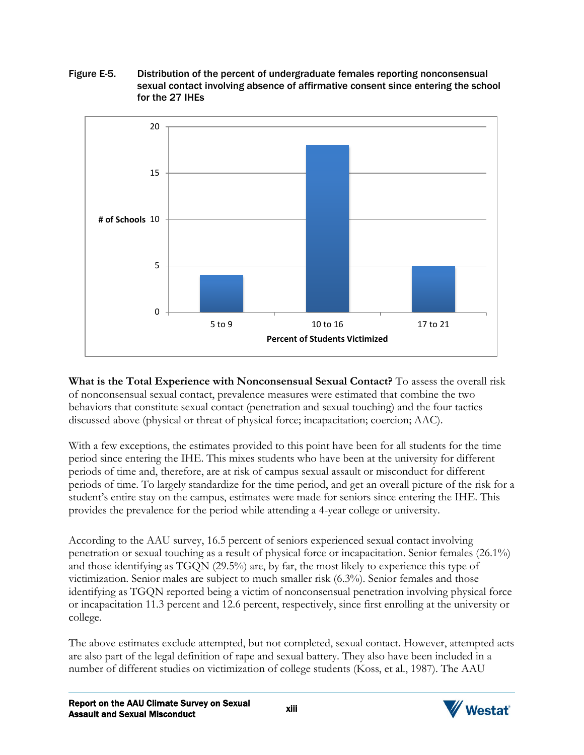Figure E-5. Distribution of the percent of undergraduate females reporting nonconsensual sexual contact involving absence of affirmative consent since entering the school for the 27 IHEs



### **What is the Total Experience with Nonconsensual Sexual Contact?** To assess the overall risk of nonconsensual sexual contact, prevalence measures were estimated that combine the two behaviors that constitute sexual contact (penetration and sexual touching) and the four tactics discussed above (physical or threat of physical force; incapacitation; coercion; AAC).

With a few exceptions, the estimates provided to this point have been for all students for the time period since entering the IHE. This mixes students who have been at the university for different periods of time and, therefore, are at risk of campus sexual assault or misconduct for different periods of time. To largely standardize for the time period, and get an overall picture of the risk for a student's entire stay on the campus, estimates were made for seniors since entering the IHE. This provides the prevalence for the period while attending a 4-year college or university.

According to the AAU survey, 16.5 percent of seniors experienced sexual contact involving penetration or sexual touching as a result of physical force or incapacitation. Senior females (26.1%) and those identifying as TGQN (29.5%) are, by far, the most likely to experience this type of victimization. Senior males are subject to much smaller risk (6.3%). Senior females and those identifying as TGQN reported being a victim of nonconsensual penetration involving physical force or incapacitation 11.3 percent and 12.6 percent, respectively, since first enrolling at the university or college.

The above estimates exclude attempted, but not completed, sexual contact. However, attempted acts are also part of the legal definition of rape and sexual battery. They also have been included in a number of different studies on victimization of college students (Koss, et al., 1987). The AAU

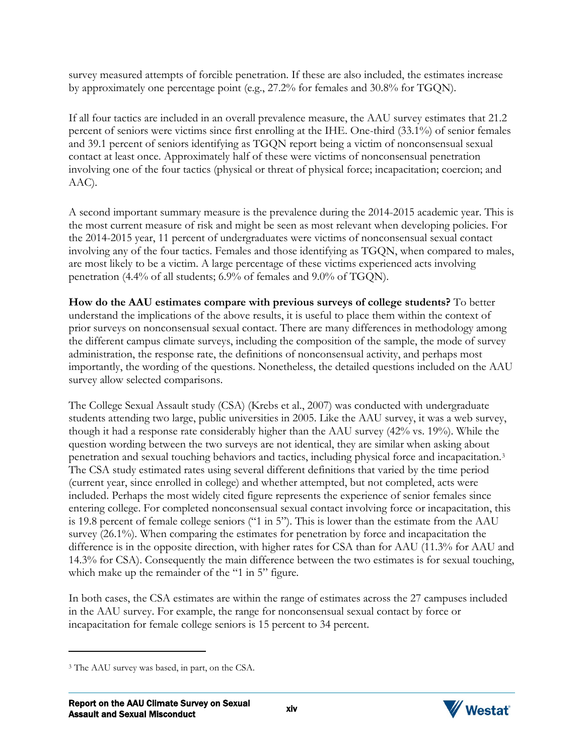survey measured attempts of forcible penetration. If these are also included, the estimates increase by approximately one percentage point (e.g., 27.2% for females and 30.8% for TGQN).

If all four tactics are included in an overall prevalence measure, the AAU survey estimates that 21.2 percent of seniors were victims since first enrolling at the IHE. One-third (33.1%) of senior females and 39.1 percent of seniors identifying as TGQN report being a victim of nonconsensual sexual contact at least once. Approximately half of these were victims of nonconsensual penetration involving one of the four tactics (physical or threat of physical force; incapacitation; coercion; and AAC).

A second important summary measure is the prevalence during the 2014-2015 academic year. This is the most current measure of risk and might be seen as most relevant when developing policies. For the 2014-2015 year, 11 percent of undergraduates were victims of nonconsensual sexual contact involving any of the four tactics. Females and those identifying as TGQN, when compared to males, are most likely to be a victim. A large percentage of these victims experienced acts involving penetration (4.4% of all students; 6.9% of females and 9.0% of TGQN).

**How do the AAU estimates compare with previous surveys of college students?** To better understand the implications of the above results, it is useful to place them within the context of prior surveys on nonconsensual sexual contact. There are many differences in methodology among the different campus climate surveys, including the composition of the sample, the mode of survey administration, the response rate, the definitions of nonconsensual activity, and perhaps most importantly, the wording of the questions. Nonetheless, the detailed questions included on the AAU survey allow selected comparisons.

The College Sexual Assault study (CSA) (Krebs et al., 2007) was conducted with undergraduate students attending two large, public universities in 2005. Like the AAU survey, it was a web survey, though it had a response rate considerably higher than the AAU survey (42% vs. 19%). While the question wording between the two surveys are not identical, they are similar when asking about penetration and sexual touching behaviors and tactics, including physical force and incapacitation.[3](#page-11-0) The CSA study estimated rates using several different definitions that varied by the time period (current year, since enrolled in college) and whether attempted, but not completed, acts were included. Perhaps the most widely cited figure represents the experience of senior females since entering college. For completed nonconsensual sexual contact involving force or incapacitation, this is 19.8 percent of female college seniors ("1 in 5"). This is lower than the estimate from the AAU survey (26.1%). When comparing the estimates for penetration by force and incapacitation the difference is in the opposite direction, with higher rates for CSA than for AAU (11.3% for AAU and 14.3% for CSA). Consequently the main difference between the two estimates is for sexual touching, which make up the remainder of the "1 in 5" figure.

In both cases, the CSA estimates are within the range of estimates across the 27 campuses included in the AAU survey. For example, the range for nonconsensual sexual contact by force or incapacitation for female college seniors is 15 percent to 34 percent.



<span id="page-11-0"></span><sup>3</sup> The AAU survey was based, in part, on the CSA.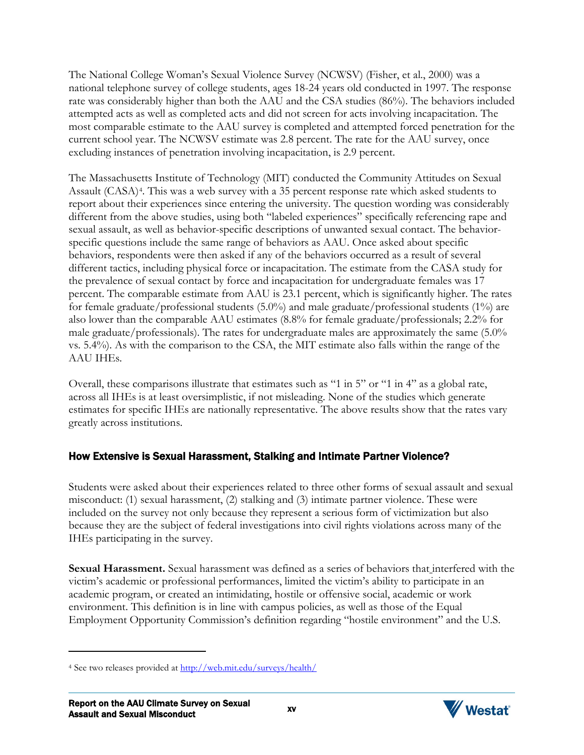The National College Woman's Sexual Violence Survey (NCWSV) (Fisher, et al., 2000) was a national telephone survey of college students, ages 18-24 years old conducted in 1997. The response rate was considerably higher than both the AAU and the CSA studies (86%). The behaviors included attempted acts as well as completed acts and did not screen for acts involving incapacitation. The most comparable estimate to the AAU survey is completed and attempted forced penetration for the current school year. The NCWSV estimate was 2.8 percent. The rate for the AAU survey, once excluding instances of penetration involving incapacitation, is 2.9 percent.

The Massachusetts Institute of Technology (MIT) conducted the Community Attitudes on Sexual Assault (CASA)[4](#page-12-0). This was a web survey with a 35 percent response rate which asked students to report about their experiences since entering the university. The question wording was considerably different from the above studies, using both "labeled experiences" specifically referencing rape and sexual assault, as well as behavior-specific descriptions of unwanted sexual contact. The behaviorspecific questions include the same range of behaviors as AAU. Once asked about specific behaviors, respondents were then asked if any of the behaviors occurred as a result of several different tactics, including physical force or incapacitation. The estimate from the CASA study for the prevalence of sexual contact by force and incapacitation for undergraduate females was 17 percent. The comparable estimate from AAU is 23.1 percent, which is significantly higher. The rates for female graduate/professional students (5.0%) and male graduate/professional students (1%) are also lower than the comparable AAU estimates (8.8% for female graduate/professionals; 2.2% for male graduate/professionals). The rates for undergraduate males are approximately the same (5.0% vs. 5.4%). As with the comparison to the CSA, the MIT estimate also falls within the range of the AAU IHEs.

Overall, these comparisons illustrate that estimates such as "1 in 5" or "1 in 4" as a global rate, across all IHEs is at least oversimplistic, if not misleading. None of the studies which generate estimates for specific IHEs are nationally representative. The above results show that the rates vary greatly across institutions.

# How Extensive is Sexual Harassment, Stalking and Intimate Partner Violence?

Students were asked about their experiences related to three other forms of sexual assault and sexual misconduct: (1) sexual harassment, (2) stalking and (3) intimate partner violence. These were included on the survey not only because they represent a serious form of victimization but also because they are the subject of federal investigations into civil rights violations across many of the IHEs participating in the survey.

**Sexual Harassment.** Sexual harassment was defined as a series of behaviors that interfered with the victim's academic or professional performances, limited the victim's ability to participate in an academic program, or created an intimidating, hostile or offensive social, academic or work environment. This definition is in line with campus policies, as well as those of the Equal Employment Opportunity Commission's definition regarding "hostile environment" and the U.S.



<span id="page-12-0"></span><sup>4</sup> See two releases provided at<http://web.mit.edu/surveys/health/>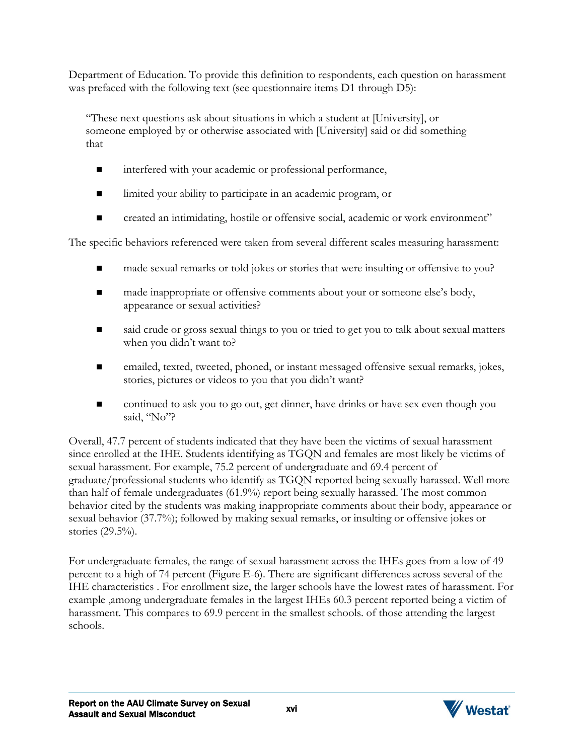Department of Education. To provide this definition to respondents, each question on harassment was prefaced with the following text (see questionnaire items D1 through D5):

"These next questions ask about situations in which a student at [University], or someone employed by or otherwise associated with [University] said or did something that

- interfered with your academic or professional performance,
- limited your ability to participate in an academic program, or
- created an intimidating, hostile or offensive social, academic or work environment"

The specific behaviors referenced were taken from several different scales measuring harassment:

- made sexual remarks or told jokes or stories that were insulting or offensive to you?
- $\blacksquare$  made inappropriate or offensive comments about your or someone else's body, appearance or sexual activities?
- said crude or gross sexual things to you or tried to get you to talk about sexual matters when you didn't want to?
- emailed, texted, tweeted, phoned, or instant messaged offensive sexual remarks, jokes, stories, pictures or videos to you that you didn't want?
- continued to ask you to go out, get dinner, have drinks or have sex even though you said, "No"?

Overall, 47.7 percent of students indicated that they have been the victims of sexual harassment since enrolled at the IHE. Students identifying as TGQN and females are most likely be victims of sexual harassment. For example, 75.2 percent of undergraduate and 69.4 percent of graduate/professional students who identify as TGQN reported being sexually harassed. Well more than half of female undergraduates (61.9%) report being sexually harassed. The most common behavior cited by the students was making inappropriate comments about their body, appearance or sexual behavior (37.7%); followed by making sexual remarks, or insulting or offensive jokes or stories (29.5%).

For undergraduate females, the range of sexual harassment across the IHEs goes from a low of 49 percent to a high of 74 percent (Figure E-6). There are significant differences across several of the IHE characteristics . For enrollment size, the larger schools have the lowest rates of harassment. For example ,among undergraduate females in the largest IHEs 60.3 percent reported being a victim of harassment. This compares to 69.9 percent in the smallest schools. of those attending the largest schools.

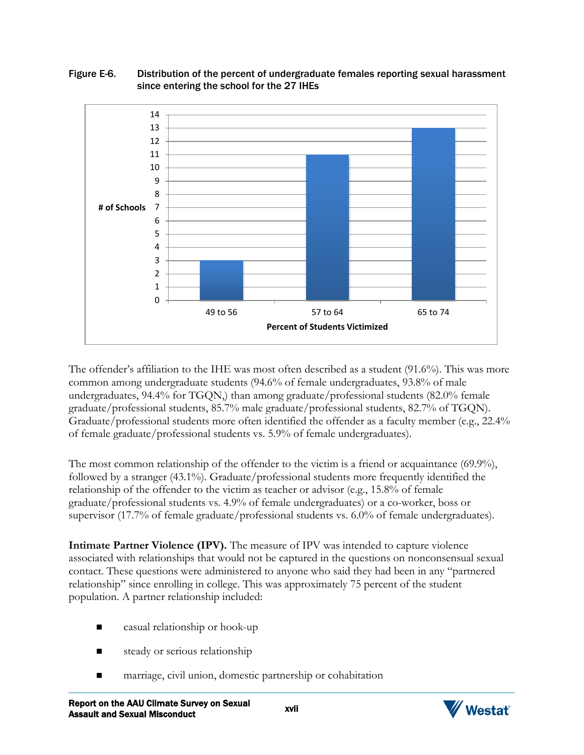#### Figure E-6. Distribution of the percent of undergraduate females reporting sexual harassment since entering the school for the 27 IHEs



The offender's affiliation to the IHE was most often described as a student (91.6%). This was more common among undergraduate students (94.6% of female undergraduates, 93.8% of male undergraduates, 94.4% for TGQN,) than among graduate/professional students (82.0% female graduate/professional students, 85.7% male graduate/professional students, 82.7% of TGQN). Graduate/professional students more often identified the offender as a faculty member (e.g., 22.4% of female graduate/professional students vs. 5.9% of female undergraduates).

The most common relationship of the offender to the victim is a friend or acquaintance (69.9%), followed by a stranger (43.1%). Graduate/professional students more frequently identified the relationship of the offender to the victim as teacher or advisor (e.g., 15.8% of female graduate/professional students vs. 4.9% of female undergraduates) or a co-worker, boss or supervisor (17.7% of female graduate/professional students vs. 6.0% of female undergraduates).

**Intimate Partner Violence (IPV).** The measure of IPV was intended to capture violence associated with relationships that would not be captured in the questions on nonconsensual sexual contact. These questions were administered to anyone who said they had been in any "partnered relationship" since enrolling in college. This was approximately 75 percent of the student population. A partner relationship included:

- casual relationship or hook-up
- steady or serious relationship
- marriage, civil union, domestic partnership or cohabitation



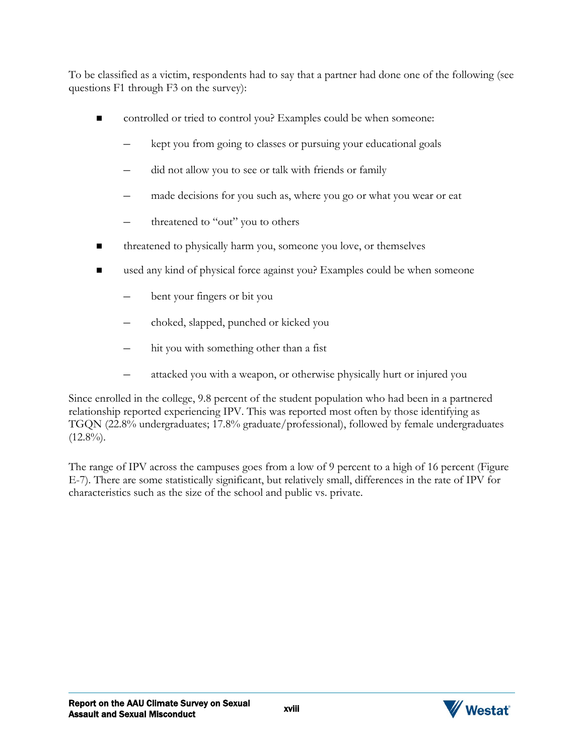To be classified as a victim, respondents had to say that a partner had done one of the following (see questions F1 through F3 on the survey):

- controlled or tried to control you? Examples could be when someone:
	- kept you from going to classes or pursuing your educational goals
	- did not allow you to see or talk with friends or family
	- made decisions for you such as, where you go or what you wear or eat
	- threatened to "out" you to others
- threatened to physically harm you, someone you love, or themselves
- used any kind of physical force against you? Examples could be when someone
	- bent your fingers or bit you
	- choked, slapped, punched or kicked you
	- hit you with something other than a fist
	- attacked you with a weapon, or otherwise physically hurt or injured you

Since enrolled in the college, 9.8 percent of the student population who had been in a partnered relationship reported experiencing IPV. This was reported most often by those identifying as TGQN (22.8% undergraduates; 17.8% graduate/professional), followed by female undergraduates  $(12.8\%)$ .

The range of IPV across the campuses goes from a low of 9 percent to a high of 16 percent (Figure E-7). There are some statistically significant, but relatively small, differences in the rate of IPV for characteristics such as the size of the school and public vs. private.

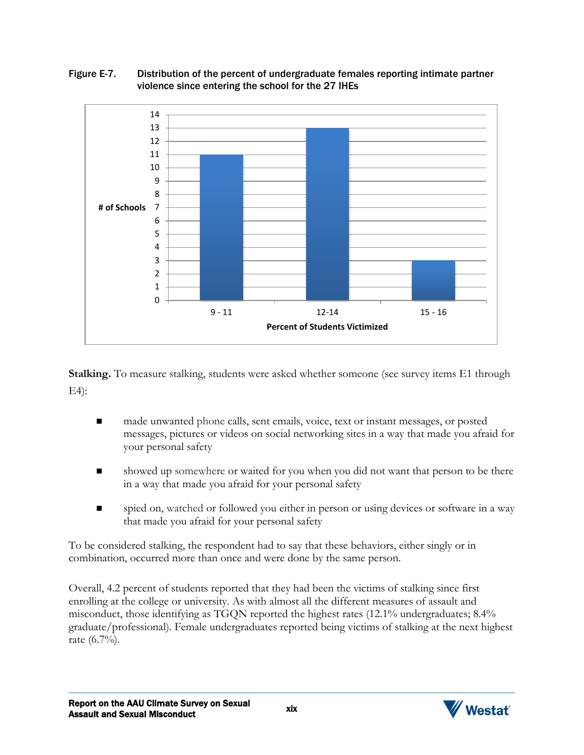Figure E-7. Distribution of the percent of undergraduate females reporting intimate partner violence since entering the school for the 27 IHEs



**Stalking.** To measure stalking, students were asked whether someone (see survey items E1 through E4):

- made unwanted phone calls, sent emails, voice, text or instant messages, or posted messages, pictures or videos on social networking sites in a way that made you afraid for your personal safety
- showed up somewhere or waited for you when you did not want that person to be there in a way that made you afraid for your personal safety
- spied on, watched or followed you either in person or using devices or software in a way that made you afraid for your personal safety

To be considered stalking, the respondent had to say that these behaviors, either singly or in combination, occurred more than once and were done by the same person.

Overall, 4.2 percent of students reported that they had been the victims of stalking since first enrolling at the college or university. As with almost all the different measures of assault and misconduct, those identifying as TGQN reported the highest rates (12.1% undergraduates; 8.4% graduate/professional). Female undergraduates reported being victims of stalking at the next highest rate (6.7%).

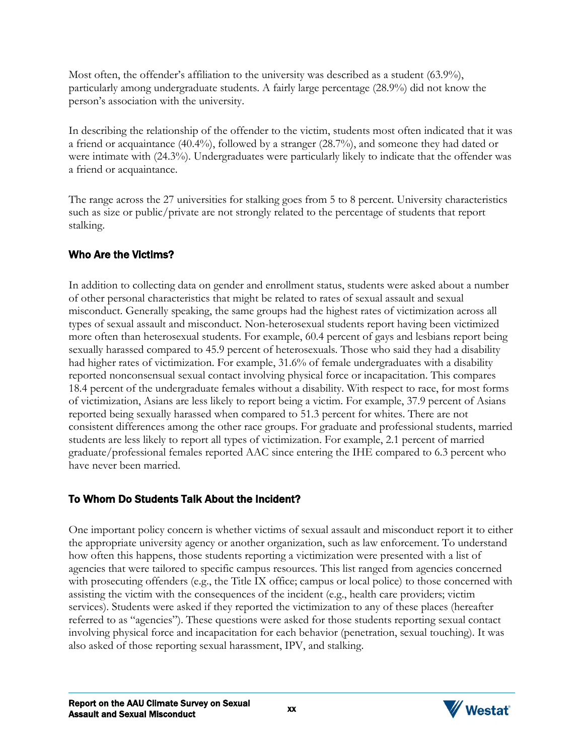Most often, the offender's affiliation to the university was described as a student (63.9%), particularly among undergraduate students. A fairly large percentage (28.9%) did not know the person's association with the university.

In describing the relationship of the offender to the victim, students most often indicated that it was a friend or acquaintance (40.4%), followed by a stranger (28.7%), and someone they had dated or were intimate with (24.3%). Undergraduates were particularly likely to indicate that the offender was a friend or acquaintance.

The range across the 27 universities for stalking goes from 5 to 8 percent. University characteristics such as size or public/private are not strongly related to the percentage of students that report stalking.

# Who Are the Victims?

In addition to collecting data on gender and enrollment status, students were asked about a number of other personal characteristics that might be related to rates of sexual assault and sexual misconduct. Generally speaking, the same groups had the highest rates of victimization across all types of sexual assault and misconduct. Non-heterosexual students report having been victimized more often than heterosexual students. For example, 60.4 percent of gays and lesbians report being sexually harassed compared to 45.9 percent of heterosexuals. Those who said they had a disability had higher rates of victimization. For example, 31.6% of female undergraduates with a disability reported nonconsensual sexual contact involving physical force or incapacitation. This compares 18.4 percent of the undergraduate females without a disability. With respect to race, for most forms of victimization, Asians are less likely to report being a victim. For example, 37.9 percent of Asians reported being sexually harassed when compared to 51.3 percent for whites. There are not consistent differences among the other race groups. For graduate and professional students, married students are less likely to report all types of victimization. For example, 2.1 percent of married graduate/professional females reported AAC since entering the IHE compared to 6.3 percent who have never been married.

# To Whom Do Students Talk About the Incident?

One important policy concern is whether victims of sexual assault and misconduct report it to either the appropriate university agency or another organization, such as law enforcement. To understand how often this happens, those students reporting a victimization were presented with a list of agencies that were tailored to specific campus resources. This list ranged from agencies concerned with prosecuting offenders (e.g., the Title IX office; campus or local police) to those concerned with assisting the victim with the consequences of the incident (e.g., health care providers; victim services). Students were asked if they reported the victimization to any of these places (hereafter referred to as "agencies"). These questions were asked for those students reporting sexual contact involving physical force and incapacitation for each behavior (penetration, sexual touching). It was also asked of those reporting sexual harassment, IPV, and stalking.

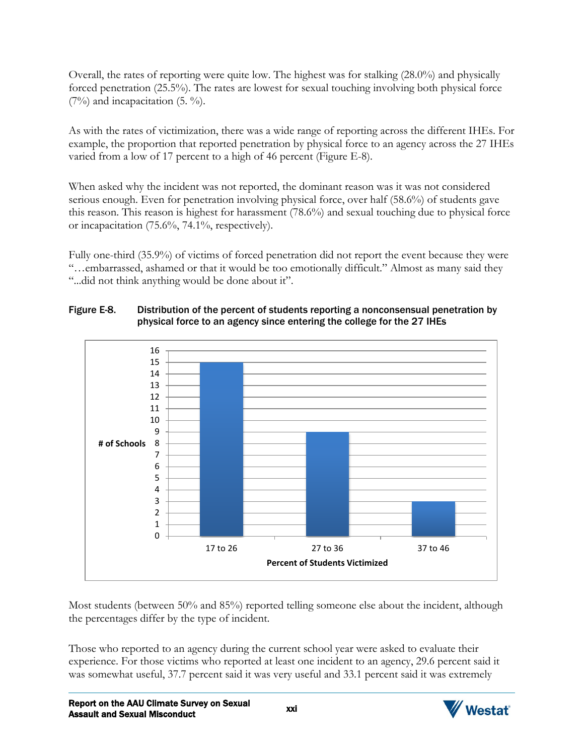Overall, the rates of reporting were quite low. The highest was for stalking (28.0%) and physically forced penetration (25.5%). The rates are lowest for sexual touching involving both physical force  $(7%)$  and incapacitation  $(5. %)$ .

As with the rates of victimization, there was a wide range of reporting across the different IHEs. For example, the proportion that reported penetration by physical force to an agency across the 27 IHEs varied from a low of 17 percent to a high of 46 percent (Figure E-8).

When asked why the incident was not reported, the dominant reason was it was not considered serious enough. Even for penetration involving physical force, over half (58.6%) of students gave this reason. This reason is highest for harassment (78.6%) and sexual touching due to physical force or incapacitation (75.6%, 74.1%, respectively).

Fully one-third (35.9%) of victims of forced penetration did not report the event because they were "…embarrassed, ashamed or that it would be too emotionally difficult." Almost as many said they "...did not think anything would be done about it".

#### Figure E-8. Distribution of the percent of students reporting a nonconsensual penetration by physical force to an agency since entering the college for the 27 IHEs



Most students (between 50% and 85%) reported telling someone else about the incident, although the percentages differ by the type of incident.

Those who reported to an agency during the current school year were asked to evaluate their experience. For those victims who reported at least one incident to an agency, 29.6 percent said it was somewhat useful, 37.7 percent said it was very useful and 33.1 percent said it was extremely

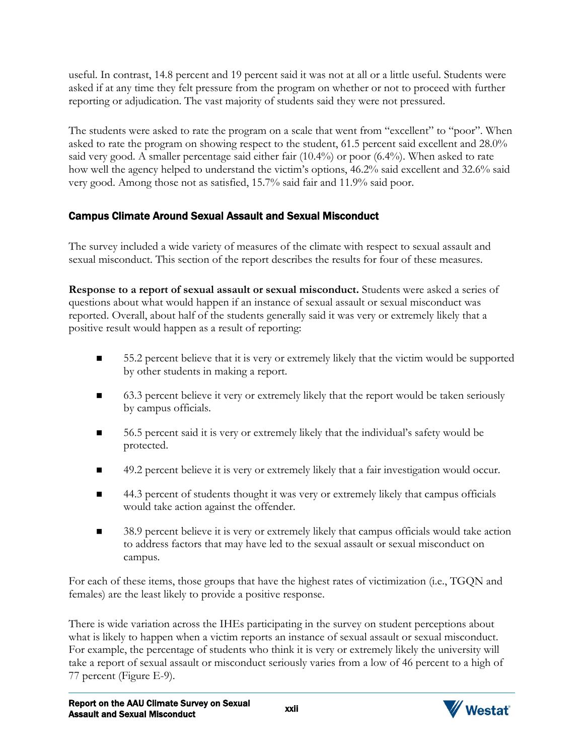useful. In contrast, 14.8 percent and 19 percent said it was not at all or a little useful. Students were asked if at any time they felt pressure from the program on whether or not to proceed with further reporting or adjudication. The vast majority of students said they were not pressured.

The students were asked to rate the program on a scale that went from "excellent" to "poor". When asked to rate the program on showing respect to the student, 61.5 percent said excellent and 28.0% said very good. A smaller percentage said either fair (10.4%) or poor (6.4%). When asked to rate how well the agency helped to understand the victim's options, 46.2% said excellent and 32.6% said very good. Among those not as satisfied, 15.7% said fair and 11.9% said poor.

# Campus Climate Around Sexual Assault and Sexual Misconduct

The survey included a wide variety of measures of the climate with respect to sexual assault and sexual misconduct. This section of the report describes the results for four of these measures.

**Response to a report of sexual assault or sexual misconduct.** Students were asked a series of questions about what would happen if an instance of sexual assault or sexual misconduct was reported. Overall, about half of the students generally said it was very or extremely likely that a positive result would happen as a result of reporting:

- 55.2 percent believe that it is very or extremely likely that the victim would be supported by other students in making a report.
- 63.3 percent believe it very or extremely likely that the report would be taken seriously by campus officials.
- 56.5 percent said it is very or extremely likely that the individual's safety would be protected.
- 49.2 percent believe it is very or extremely likely that a fair investigation would occur.
- 44.3 percent of students thought it was very or extremely likely that campus officials would take action against the offender.
- 38.9 percent believe it is very or extremely likely that campus officials would take action to address factors that may have led to the sexual assault or sexual misconduct on campus.

For each of these items, those groups that have the highest rates of victimization (i.e., TGQN and females) are the least likely to provide a positive response.

There is wide variation across the IHEs participating in the survey on student perceptions about what is likely to happen when a victim reports an instance of sexual assault or sexual misconduct. For example, the percentage of students who think it is very or extremely likely the university will take a report of sexual assault or misconduct seriously varies from a low of 46 percent to a high of 77 percent (Figure E-9).

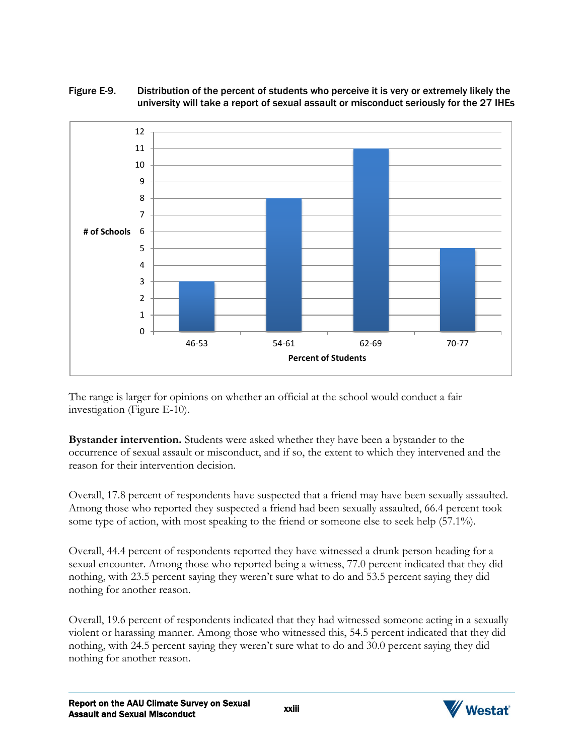#### Figure E-9. Distribution of the percent of students who perceive it is very or extremely likely the university will take a report of sexual assault or misconduct seriously for the 27 IHEs



The range is larger for opinions on whether an official at the school would conduct a fair investigation (Figure E-10).

**Bystander intervention.** Students were asked whether they have been a bystander to the occurrence of sexual assault or misconduct, and if so, the extent to which they intervened and the reason for their intervention decision.

Overall, 17.8 percent of respondents have suspected that a friend may have been sexually assaulted. Among those who reported they suspected a friend had been sexually assaulted, 66.4 percent took some type of action, with most speaking to the friend or someone else to seek help (57.1%).

Overall, 44.4 percent of respondents reported they have witnessed a drunk person heading for a sexual encounter. Among those who reported being a witness, 77.0 percent indicated that they did nothing, with 23.5 percent saying they weren't sure what to do and 53.5 percent saying they did nothing for another reason.

Overall, 19.6 percent of respondents indicated that they had witnessed someone acting in a sexually violent or harassing manner. Among those who witnessed this, 54.5 percent indicated that they did nothing, with 24.5 percent saying they weren't sure what to do and 30.0 percent saying they did nothing for another reason.

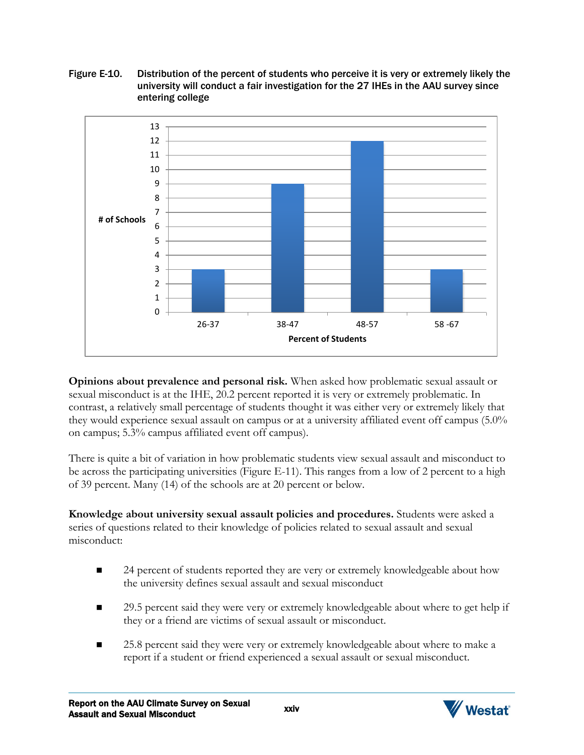Figure E-10. Distribution of the percent of students who perceive it is very or extremely likely the university will conduct a fair investigation for the 27 IHEs in the AAU survey since entering college



**Opinions about prevalence and personal risk.** When asked how problematic sexual assault or sexual misconduct is at the IHE, 20.2 percent reported it is very or extremely problematic. In contrast, a relatively small percentage of students thought it was either very or extremely likely that they would experience sexual assault on campus or at a university affiliated event off campus (5.0% on campus; 5.3% campus affiliated event off campus).

There is quite a bit of variation in how problematic students view sexual assault and misconduct to be across the participating universities (Figure E-11). This ranges from a low of 2 percent to a high of 39 percent. Many (14) of the schools are at 20 percent or below.

**Knowledge about university sexual assault policies and procedures.** Students were asked a series of questions related to their knowledge of policies related to sexual assault and sexual misconduct:

- 24 percent of students reported they are very or extremely knowledgeable about how the university defines sexual assault and sexual misconduct
- 29.5 percent said they were very or extremely knowledgeable about where to get help if they or a friend are victims of sexual assault or misconduct.
- 25.8 percent said they were very or extremely knowledgeable about where to make a report if a student or friend experienced a sexual assault or sexual misconduct.